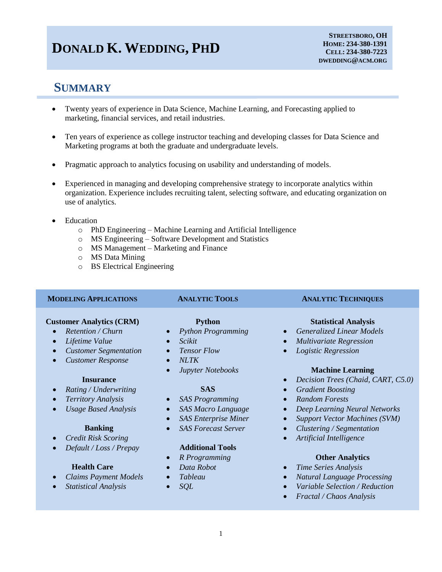# **DONALD K. WEDDING, PHD**

# **SUMMARY**

- Twenty years of experience in Data Science, Machine Learning, and Forecasting applied to marketing, financial services, and retail industries.
- Ten years of experience as college instructor teaching and developing classes for Data Science and Marketing programs at both the graduate and undergraduate levels.
- Pragmatic approach to analytics focusing on usability and understanding of models.
- Experienced in managing and developing comprehensive strategy to incorporate analytics within organization. Experience includes recruiting talent, selecting software, and educating organization on use of analytics.
- Education
	- o PhD Engineering Machine Learning and Artificial Intelligence
	- o MS Engineering Software Development and Statistics
	- o MS Management Marketing and Finance
	- o MS Data Mining
	- o BS Electrical Engineering

### **MODELING APPLICATIONS ANALYTIC TOOLS ANALYTIC TECHNIQUES**

## **Customer Analytics (CRM) Python Python Statistical Analysis**

- 
- 
- 
- *Customer Response NLTK*

- *Rating / Underwriting* **SAS** *Gradient Boosting*
- 
- 

- 
- *Default / Loss / Prepay* **Additional Tools**

- 
- 

- 
- 
- 
- 
- 

- *Territory Analysis SAS Programming Random Forests*
	-
	-
	-

- *R Programming* **Other Analytics**
- 
- 
- 

- *Retention / Churn Python Programming Generalized Linear Models*
	- *Lifetime Value* **•** *Scikit* **•** *Scikit* **•** *Multivariate Regression*
	- *Customer Segmentation Tensor Flow Logistic Regression*

### *Jupyter Notebooks* **Machine Learning**

- **Insurance** *Decision Trees (Chaid, CART, C5.0)*
	-
	-
- *Usage Based Analysis SAS Macro Language Deep Learning Neural Networks*
	- *SAS Enterprise Miner Support Vector Machines (SVM)*
	- **Banking** *SAS Forecast Server Clustering / Segmentation*
- *Credit Risk Scoring Artificial Intelligence*

- **Health Care** *Data Robot Time Series Analysis*
- Claims Payment Models Tableau *Tableau* Natural Language Processing
	- *Statistical Analysis SQL Variable Selection / Reduction*
		- *Fractal / Chaos Analysis*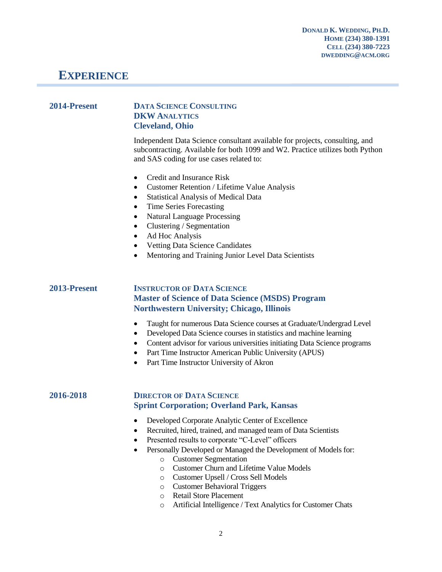## **EXPERIENCE**

## **2014-Present DATA SCIENCE CONSULTING DKW ANALYTICS Cleveland, Ohio**

Independent Data Science consultant available for projects, consulting, and subcontracting. Available for both 1099 and W2. Practice utilizes both Python and SAS coding for use cases related to:

- Credit and Insurance Risk
- Customer Retention / Lifetime Value Analysis
- Statistical Analysis of Medical Data
- Time Series Forecasting
- Natural Language Processing
- Clustering / Segmentation
- Ad Hoc Analysis
- Vetting Data Science Candidates
- Mentoring and Training Junior Level Data Scientists

## **2013-Present INSTRUCTOR OF DATA SCIENCE Master of Science of Data Science (MSDS) Program Northwestern University; Chicago, Illinois**

- Taught for numerous Data Science courses at Graduate/Undergrad Level
- Developed Data Science courses in statistics and machine learning
- Content advisor for various universities initiating Data Science programs
- Part Time Instructor American Public University (APUS)
- Part Time Instructor University of Akron

## **2016-2018 DIRECTOR OF DATA SCIENCE Sprint Corporation; Overland Park, Kansas**

- Developed Corporate Analytic Center of Excellence
- Recruited, hired, trained, and managed team of Data Scientists
- Presented results to corporate "C-Level" officers
	- Personally Developed or Managed the Development of Models for:
		- o Customer Segmentation
		- o Customer Churn and Lifetime Value Models
		- o Customer Upsell / Cross Sell Models
		- o Customer Behavioral Triggers
		- o Retail Store Placement
		- o Artificial Intelligence / Text Analytics for Customer Chats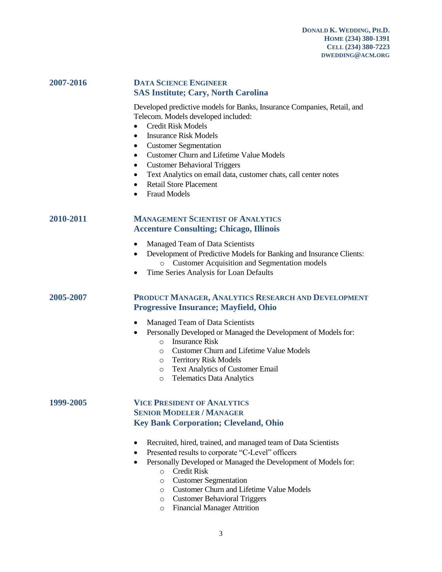## **2007-2016 DATA SCIENCE ENGINEER SAS Institute; Cary, North Carolina**

Developed predictive models for Banks, Insurance Companies, Retail, and Telecom. Models developed included:

- Credit Risk Models
- Insurance Risk Models
- Customer Segmentation
- Customer Churn and Lifetime Value Models
- Customer Behavioral Triggers
- Text Analytics on email data, customer chats, call center notes
- Retail Store Placement
- Fraud Models

## **2010-2011 MANAGEMENT SCIENTIST OF ANALYTICS Accenture Consulting; Chicago, Illinois**

- Managed Team of Data Scientists
- Development of Predictive Models for Banking and Insurance Clients: o Customer Acquisition and Segmentation models
- Time Series Analysis for Loan Defaults

## **2005-2007 PRODUCT MANAGER, ANALYTICS RESEARCH AND DEVELOPMENT Progressive Insurance; Mayfield, Ohio**

- Managed Team of Data Scientists
- Personally Developed or Managed the Development of Models for:
	- o Insurance Risk
	- o Customer Churn and Lifetime Value Models
	- o Territory Risk Models
	- o Text Analytics of Customer Email
	- o Telematics Data Analytics

## **1999-2005 VICE PRESIDENT OF ANALYTICS SENIOR MODELER / MANAGER Key Bank Corporation; Cleveland, Ohio**

- Recruited, hired, trained, and managed team of Data Scientists
- Presented results to corporate "C-Level" officers
	- Personally Developed or Managed the Development of Models for:
		- o Credit Risk
		- o Customer Segmentation
		- o Customer Churn and Lifetime Value Models
		- o Customer Behavioral Triggers
		- o Financial Manager Attrition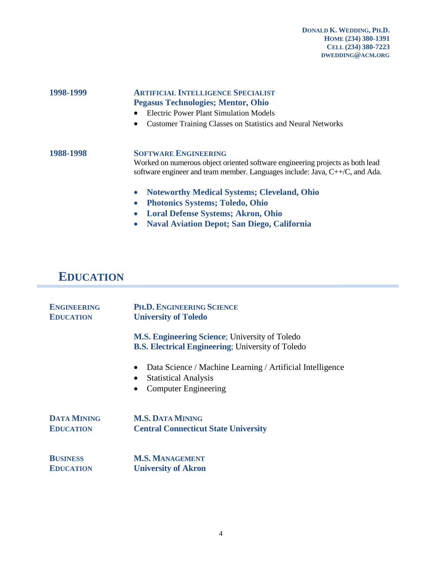## **1998-1999 ARTIFICIAL INTELLIGENCE SPECIALIST Pegasus Technologies; Mentor, Ohio**

- Electric Power Plant Simulation Models
- Customer Training Classes on Statistics and Neural Networks

**1988-1998 SOFTWARE ENGINEERING** Worked on numerous object oriented software engineering projects as both lead software engineer and team member. Languages include: Java, C++/C, and Ada.

- **Noteworthy Medical Systems; Cleveland, Ohio**
- **Photonics Systems; Toledo, Ohio**
- **Loral Defense Systems; Akron, Ohio**
- **Naval Aviation Depot; San Diego, California**

## **EDUCATION**

| <b>ENGINEERING</b><br><b>EDUCATION</b> | PH.D. ENGINEERING SCIENCE<br><b>University of Toledo</b>                                                                                                       |
|----------------------------------------|----------------------------------------------------------------------------------------------------------------------------------------------------------------|
|                                        | <b>M.S. Engineering Science</b> ; University of Toledo<br><b>B.S. Electrical Engineering: University of Toledo</b>                                             |
|                                        | Data Science / Machine Learning / Artificial Intelligence<br>$\bullet$<br><b>Statistical Analysis</b><br>$\bullet$<br><b>Computer Engineering</b><br>$\bullet$ |
| <b>DATA MINING</b><br><b>EDUCATION</b> | <b>M.S. DATA MINING</b><br><b>Central Connecticut State University</b>                                                                                         |
| <b>BUSINESS</b><br><b>EDUCATION</b>    | <b>M.S. MANAGEMENT</b><br><b>University of Akron</b>                                                                                                           |